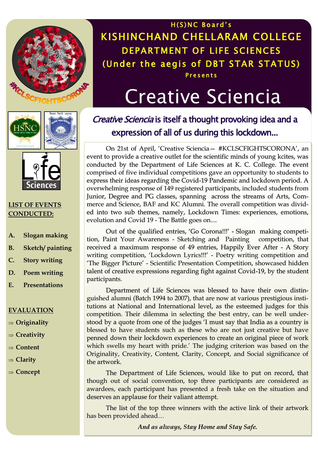

H(S)NC Board's KISHINCHAND CHELLARAM COLLEGE DEPARTMENT OF LIFE SCIENCES (Under the aegis of DBT STAR STATUS) **Presents** 

# Creative Sciencia





#### **LIST OF EVENTS CONDUCTED:**

- **A. Slogan making**
- **B. Sketch/ painting**
- **C. Story writing**
- **D. Poem writing**
- **E. Presentations**

#### **EVALUATION**

- **Originality**
- **Creativity**
- **⇒** Content
- **Clarity**
- **Concept**

Creative Sciencia is itself a thought provoking idea and a expression of all of us during this lockdown...

On 21st of April, 'Creative Sciencia— #KCLSCFIGHTSCORONA', an event to provide a creative outlet for the scientific minds of young kcites, was conducted by the Department of Life Sciences at K. C. College. The event comprised of five individual competitions gave an opportunity to students to express their ideas regarding the Covid-19 Pandemic and lockdown period. A overwhelming response of 149 registered participants, included students from Junior, Degree and PG classes, spanning across the streams of Arts, Commerce and Science, BAF and KC Alumni. The overall competition was divided into two sub themes, namely, Lockdown Times: experiences, emotions, evolution and Covid 19 - The Battle goes on....

Out of the qualified entries, 'Go Corona!!!' - Slogan making competition, Paint Your Awareness - Sketching and Painting competition, that received a maximum response of 49 entries, Happily Ever After - A Story writing competition, 'Lockdown Lyrics!!!' - Poetry writing competition and 'The Bigger Picture' - Scientific Presentation Competition, showcased hidden talent of creative expressions regarding fight against Covid-19, by the student participants.

Department of Life Sciences was blessed to have their own distinguished alumni (Batch 1994 to 2007), that are now at various prestigious institutions at National and International level, as the esteemed judges for this competition. Their dilemma in selecting the best entry, can be well understood by a quote from one of the judges 'I must say that India as a country is blessed to have students such as these who are not just creative but have penned down their lockdown experiences to create an original piece of work which swells my heart with pride.' The judging criterion was based on the Originality, Creativity, Content, Clarity, Concept, and Social significance of the artwork.

The Department of Life Sciences, would like to put on record, that though out of social convention, top three participants are considered as awardees, each participant has presented a fresh take on the situation and deserves an applause for their valiant attempt.

The list of the top three winners with the active link of their artwork has been provided ahead…

*And as always, Stay Home and Stay Safe.*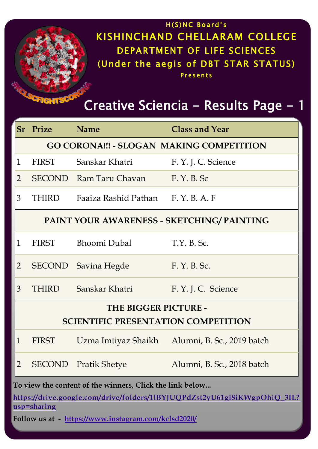

|                                            | Sr Prize                                                 | <b>Name</b>                    | <b>Class and Year</b>      |  |  |  |  |
|--------------------------------------------|----------------------------------------------------------|--------------------------------|----------------------------|--|--|--|--|
|                                            | <b>GO CORONA!!! - SLOGAN MAKING COMPETITION</b>          |                                |                            |  |  |  |  |
| $\mathbf{1}$                               | <b>FIRST</b>                                             | Sanskar Khatri                 | F. Y. J. C. Science        |  |  |  |  |
| $\overline{2}$                             | <b>SECOND</b>                                            | Ram Taru Chavan                | F. Y. B. Sc                |  |  |  |  |
| 3                                          | <b>THIRD</b>                                             | Faaiza Rashid Pathan F.Y.B.A.F |                            |  |  |  |  |
| PAINT YOUR AWARENESS - SKETCHING/ PAINTING |                                                          |                                |                            |  |  |  |  |
| $\mathbf{1}$                               | <b>FIRST</b>                                             | <b>Bhoomi Dubal</b>            | $T.Y. B.$ Sc.              |  |  |  |  |
| $\overline{2}$                             | SECOND                                                   | Savina Hegde                   | F. Y. B. Sc.               |  |  |  |  |
| 3                                          | <b>THIRD</b>                                             | Sanskar Khatri                 | F. Y. J. C. Science        |  |  |  |  |
| THE BIGGER PICTURE -                       |                                                          |                                |                            |  |  |  |  |
| <b>SCIENTIFIC PRESENTATION COMPETITION</b> |                                                          |                                |                            |  |  |  |  |
| $\mathbf{1}$                               | <b>FIRST</b>                                             | Uzma Imtiyaz Shaikh            | Alumni, B. Sc., 2019 batch |  |  |  |  |
| $\overline{2}$                             |                                                          | <b>SECOND</b> Pratik Shetye    | Alumni, B. Sc., 2018 batch |  |  |  |  |
|                                            | To view the content of the winners, Click the link below |                                |                            |  |  |  |  |

**https://drive.google.com/drive/folders/1lBYJUQPdZst2yU61gi8iKWgpOhiQ\_3IL? usp=sharing**

**Follow us at - https://www.instagram.com/kclsd2020/**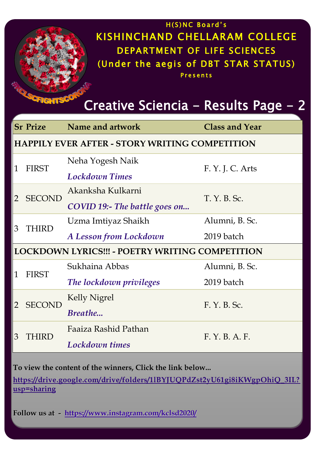### $H(S)NC$  Board's KISHINCHAND CHELLARAM COLLEGE DEPARTMENT OF LIFE SCIENCES (Under the aegis of DBT STAR STATUS) **Presents**

Creative Sciencia - Results Page - 2

|                                                        | <b>Sr Prize</b> | Name and artwork                     | <b>Class and Year</b> |  |  |  |  |  |
|--------------------------------------------------------|-----------------|--------------------------------------|-----------------------|--|--|--|--|--|
| <b>HAPPILY EVER AFTER - STORY WRITING COMPETITION</b>  |                 |                                      |                       |  |  |  |  |  |
| $\mathbf{1}$                                           | <b>FIRST</b>    | Neha Yogesh Naik                     |                       |  |  |  |  |  |
|                                                        |                 | <b>Lockdown Times</b>                | F. Y. J. C. Arts      |  |  |  |  |  |
| 2                                                      | <b>SECOND</b>   | Akanksha Kulkarni                    |                       |  |  |  |  |  |
|                                                        |                 | <b>COVID 19:- The battle goes on</b> | T. Y. B. Sc.          |  |  |  |  |  |
| 3                                                      | <b>THIRD</b>    | Uzma Imtiyaz Shaikh                  | Alumni, B. Sc.        |  |  |  |  |  |
|                                                        |                 | A Lesson from Lockdown               | 2019 batch            |  |  |  |  |  |
| <b>LOCKDOWN LYRICS!!! - POETRY WRITING COMPETITION</b> |                 |                                      |                       |  |  |  |  |  |
|                                                        | <b>FIRST</b>    | Sukhaina Abbas                       | Alumni, B. Sc.        |  |  |  |  |  |
| $\mathbf{1}$                                           |                 | The lockdown privileges              | 2019 batch            |  |  |  |  |  |
|                                                        | <b>SECOND</b>   | <b>Kelly Nigrel</b>                  |                       |  |  |  |  |  |
| $\overline{2}$                                         |                 | Breathe                              | F. Y. B. Sc.          |  |  |  |  |  |
| 3                                                      | THIRD           | Faaiza Rashid Pathan                 |                       |  |  |  |  |  |
|                                                        |                 | <b>Lockdown times</b>                | F. Y. B. A. F.        |  |  |  |  |  |

**To view the content of the winners, Click the link below...**

**CFIG** 

**https://drive.google.com/drive/folders/1lBYJUQPdZst2yU61gi8iKWgpOhiQ\_3IL? usp=sharing**

**Follow us at - https://www.instagram.com/kclsd2020/**